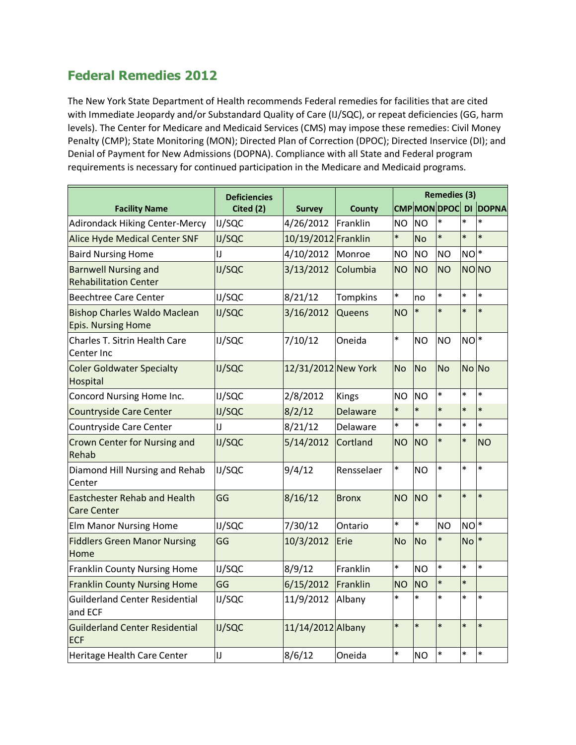## **Federal Remedies 2012**

The New York State Department of Health recommends Federal remedies for facilities that are cited with Immediate Jeopardy and/or Substandard Quality of Care (IJ/SQC), or repeat deficiencies (GG, harm levels). The Center for Medicare and Medicaid Services (CMS) may impose these remedies: Civil Money Penalty (CMP); State Monitoring (MON); Directed Plan of Correction (DPOC); Directed Inservice (DI); and Denial of Payment for New Admissions (DOPNA). Compliance with all State and Federal program requirements is necessary for continued participation in the Medicare and Medicaid programs.

|                                                                  | <b>Deficiencies</b><br>Cited (2) | <b>Survey</b>       | <b>County</b>   | <b>Remedies (3)</b> |                |                   |           |              |
|------------------------------------------------------------------|----------------------------------|---------------------|-----------------|---------------------|----------------|-------------------|-----------|--------------|
| <b>Facility Name</b>                                             |                                  |                     |                 |                     |                | <b>CMPMONDPOC</b> | DI        | <b>DOPNA</b> |
| <b>Adirondack Hiking Center-Mercy</b>                            | IJ/SQC                           | 4/26/2012           | Franklin        | <b>NO</b>           | <b>NO</b>      | $\ast$            | $\ast$    | $\ast$       |
| Alice Hyde Medical Center SNF                                    | <b>IJ/SQC</b>                    | 10/19/2012 Franklin |                 | $\ast$              | <b>No</b>      | $\ast$            | $\ast$    | $\ast$       |
| <b>Baird Nursing Home</b>                                        | IJ                               | 4/10/2012           | Monroe          | <b>NO</b>           | <b>NO</b>      | <b>NO</b>         | $NO^*$    |              |
| <b>Barnwell Nursing and</b><br><b>Rehabilitation Center</b>      | <b>IJ/SQC</b>                    | 3/13/2012           | Columbia        | <b>NO</b>           | <b>NO</b>      | <b>NO</b>         |           | <b>NONO</b>  |
| <b>Beechtree Care Center</b>                                     | <b>IJ/SQC</b>                    | 8/21/12             | <b>Tompkins</b> | $\ast$              | no             | $\ast$            | $\ast$    | $\ast$       |
| <b>Bishop Charles Waldo Maclean</b><br><b>Epis. Nursing Home</b> | <b>IJ/SQC</b>                    | 3/16/2012           | Queens          | <b>NO</b>           | $\ast$         | $\ast$            | $\ast$    | $\ast$       |
| Charles T. Sitrin Health Care<br>Center Inc                      | IJ/SQC                           | 7/10/12             | Oneida          | $\ast$              | <b>NO</b>      | <b>NO</b>         | $NO^*$    |              |
| <b>Coler Goldwater Specialty</b><br><b>Hospital</b>              | <b>IJ/SQC</b>                    | 12/31/2012 New York |                 | <b>No</b>           | <b>No</b>      | <b>No</b>         | No No     |              |
| Concord Nursing Home Inc.                                        | <b>IJ/SQC</b>                    | 2/8/2012            | <b>Kings</b>    | <b>NO</b>           | <b>NO</b>      | $\ast$            | $\ast$    | $\ast$       |
| <b>Countryside Care Center</b>                                   | <b>IJ/SQC</b>                    | 8/2/12              | <b>Delaware</b> | $\ast$              | $\ast$         | $\ast$            | $\ast$    | $\ast$       |
| Countryside Care Center                                          | IJ                               | 8/21/12             | Delaware        | $\ast$              | $\ast$         | $\ast$            | $\ast$    | $\ast$       |
| Crown Center for Nursing and<br>Rehab                            | <b>IJ/SQC</b>                    | 5/14/2012           | Cortland        | <b>NO</b>           | <b>NO</b>      | $\ast$            | $\ast$    | <b>NO</b>    |
| Diamond Hill Nursing and Rehab<br>Center                         | <b>IJ/SQC</b>                    | 9/4/12              | Rensselaer      | $\ast$              | <b>NO</b>      | $\ast$            | $\ast$    | $\ast$       |
| <b>Eastchester Rehab and Health</b><br><b>Care Center</b>        | GG                               | 8/16/12             | <b>Bronx</b>    | <b>NO</b>           | <b>NO</b>      | $\ast$            | $\ast$    | $\ast$       |
| <b>Elm Manor Nursing Home</b>                                    | <b>IJ/SQC</b>                    | 7/30/12             | Ontario         | $\ast$              | $\ast$         | <b>NO</b>         | $NO^*$    |              |
| <b>Fiddlers Green Manor Nursing</b><br>Home                      | GG                               | 10/3/2012           | Erie            | <b>No</b>           | <b>No</b>      | $\ast$            | <b>No</b> | $\ast$       |
| <b>Franklin County Nursing Home</b>                              | <b>IJ/SQC</b>                    | 8/9/12              | Franklin        | $\ast$              | <b>NO</b>      | $\ast$            | $\ast$    | $\ast$       |
| <b>Franklin County Nursing Home</b>                              | GG                               | 6/15/2012           | Franklin        | <b>NO</b>           | N <sub>O</sub> | $\ast$            | $\ast$    |              |
| <b>Guilderland Center Residential</b><br>and ECF                 | IJ/SQC                           | 11/9/2012           | Albany          | $\ast$              | $\ast$         | $\ast$            | $\ast$    | $\ast$       |
| <b>Guilderland Center Residential</b><br><b>ECF</b>              | <b>IJ/SQC</b>                    | 11/14/2012 Albany   |                 | $\ast$              | $\ast$         | $\ast$            | $\ast$    | $\ast$       |
| Heritage Health Care Center                                      | IJ                               | 8/6/12              | Oneida          | $\ast$              | <b>NO</b>      | $\ast$            | $\ast$    | $\ast$       |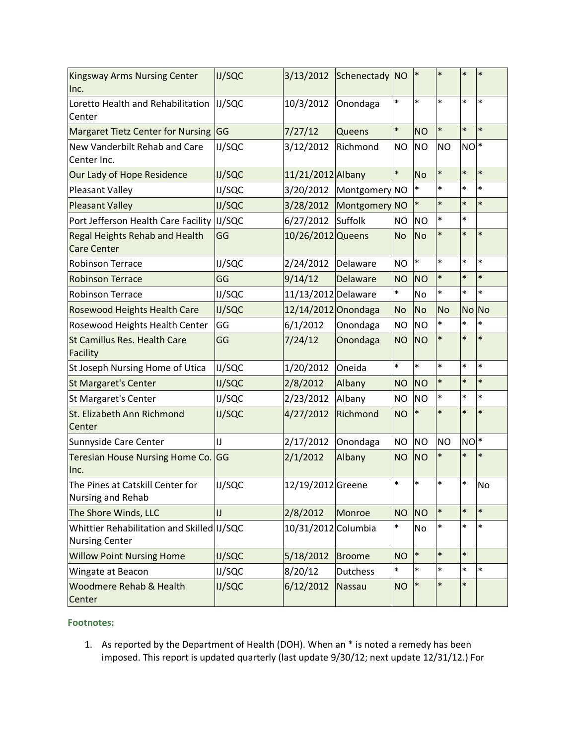| Kingsway Arms Nursing Center<br>Inc.                                | <b>IJ/SQC</b> | 3/13/2012           | Schenectady NO  |           | $\ast$         | $\ast$    | $\ast$ | $\ast$ |
|---------------------------------------------------------------------|---------------|---------------------|-----------------|-----------|----------------|-----------|--------|--------|
| Loretto Health and Rehabilitation<br>Center                         | <b>IJ/SQC</b> | 10/3/2012           | Onondaga        | $\ast$    | $\ast$         | $\ast$    | $\ast$ | $\ast$ |
| Margaret Tietz Center for Nursing GG                                |               | 7/27/12             | <b>Queens</b>   | $\ast$    | <b>NO</b>      | $\ast$    | $\ast$ | $\ast$ |
| New Vanderbilt Rehab and Care<br>Center Inc.                        | IJ/SQC        | 3/12/2012           | Richmond        | <b>NO</b> | <b>NO</b>      | <b>NO</b> | $NO^*$ |        |
| Our Lady of Hope Residence                                          | <b>IJ/SQC</b> | 11/21/2012 Albany   |                 | $\ast$    | <b>No</b>      | $\ast$    | $\ast$ | $\ast$ |
| Pleasant Valley                                                     | IJ/SQC        | 3/20/2012           | Montgomery NO   |           | $\ast$         | $\ast$    | $\ast$ | $\ast$ |
| <b>Pleasant Valley</b>                                              | <b>IJ/SQC</b> | 3/28/2012           | Montgomery NO   |           | $\ast$         | $\ast$    | $\ast$ | $\ast$ |
| Port Jefferson Health Care Facility                                 | IJ/SQC        | 6/27/2012           | Suffolk         | <b>NO</b> | <b>NO</b>      | $\ast$    | $\ast$ |        |
| Regal Heights Rehab and Health<br><b>Care Center</b>                | GG            | 10/26/2012 Queens   |                 | <b>No</b> | <b>No</b>      | $\ast$    | $\ast$ | $\ast$ |
| <b>Robinson Terrace</b>                                             | IJ/SQC        | 2/24/2012           | Delaware        | <b>NO</b> | $\ast$         | $\ast$    | $\ast$ | $\ast$ |
| <b>Robinson Terrace</b>                                             | GG            | 9/14/12             | Delaware        | <b>NO</b> | <b>NO</b>      | $\ast$    | $\ast$ | $\ast$ |
| <b>Robinson Terrace</b>                                             | IJ/SQC        | 11/13/2012 Delaware |                 | $\ast$    | No             | $\ast$    | $\ast$ | $\ast$ |
| <b>Rosewood Heights Health Care</b>                                 | <b>IJ/SQC</b> | 12/14/2012 Onondaga |                 | <b>No</b> | <b>No</b>      | <b>No</b> | No No  |        |
| Rosewood Heights Health Center                                      | GG            | 6/1/2012            | Onondaga        | <b>NO</b> | <b>NO</b>      | $\ast$    | $\ast$ | *      |
| <b>St Camillus Res. Health Care</b><br>Facility                     | GG            | 7/24/12             | Onondaga        | <b>NO</b> | <b>NO</b>      | $\ast$    | $\ast$ | $\ast$ |
| St Joseph Nursing Home of Utica                                     | IJ/SQC        | 1/20/2012           | Oneida          | $\ast$    | $\ast$         | $\ast$    | $\ast$ | $\ast$ |
| <b>St Margaret's Center</b>                                         | <b>IJ/SQC</b> | 2/8/2012            | Albany          | <b>NO</b> | <b>NO</b>      | $\ast$    | $\ast$ | $\ast$ |
| St Margaret's Center                                                | IJ/SQC        | 2/23/2012           | Albany          | <b>NO</b> | <b>NO</b>      | $\ast$    | $\ast$ | $\ast$ |
| St. Elizabeth Ann Richmond<br>Center                                | <b>IJ/SQC</b> | 4/27/2012           | Richmond        | <b>NO</b> | $\ast$         | $\ast$    | $\ast$ | $\ast$ |
| Sunnyside Care Center                                               | IJ            | 2/17/2012           | Onondaga        | <b>NO</b> | <b>NO</b>      | <b>NO</b> | $Nol*$ |        |
| Teresian House Nursing Home Co.<br>Inc.                             | GG            | 2/1/2012            | Albany          | <b>NO</b> | <b>NO</b>      | $\ast$    | $\ast$ | $\ast$ |
| The Pines at Catskill Center for<br>Nursing and Rehab               | <b>IJ/SQC</b> | 12/19/2012 Greene   |                 | $\ast$    | $\ast$         | $\ast$    | $\ast$ | No     |
| The Shore Winds, LLC                                                | IJ            | 2/8/2012            | Monroe          | <b>NO</b> | N <sub>O</sub> | $\ast$    | $\ast$ | $\ast$ |
| Whittier Rehabilitation and Skilled IJ/SQC<br><b>Nursing Center</b> |               | 10/31/2012 Columbia |                 | $\ast$    | No             | $\ast$    | $\ast$ | *      |
| <b>Willow Point Nursing Home</b>                                    | <b>IJ/SQC</b> | 5/18/2012           | Broome          | <b>NO</b> | $\ast$         | $\ast$    | $\ast$ |        |
| Wingate at Beacon                                                   | IJ/SQC        | 8/20/12             | <b>Dutchess</b> | *         | $\ast$         | $\ast$    | $\ast$ | $\ast$ |
| Woodmere Rehab & Health<br>Center                                   | <b>IJ/SQC</b> | 6/12/2012           | Nassau          | <b>NO</b> | $\ast$         | $\ast$    | $\ast$ |        |

## **Footnotes:**

1. As reported by the Department of Health (DOH). When an \* is noted a remedy has been imposed. This report is updated quarterly (last update 9/30/12; next update 12/31/12.) For